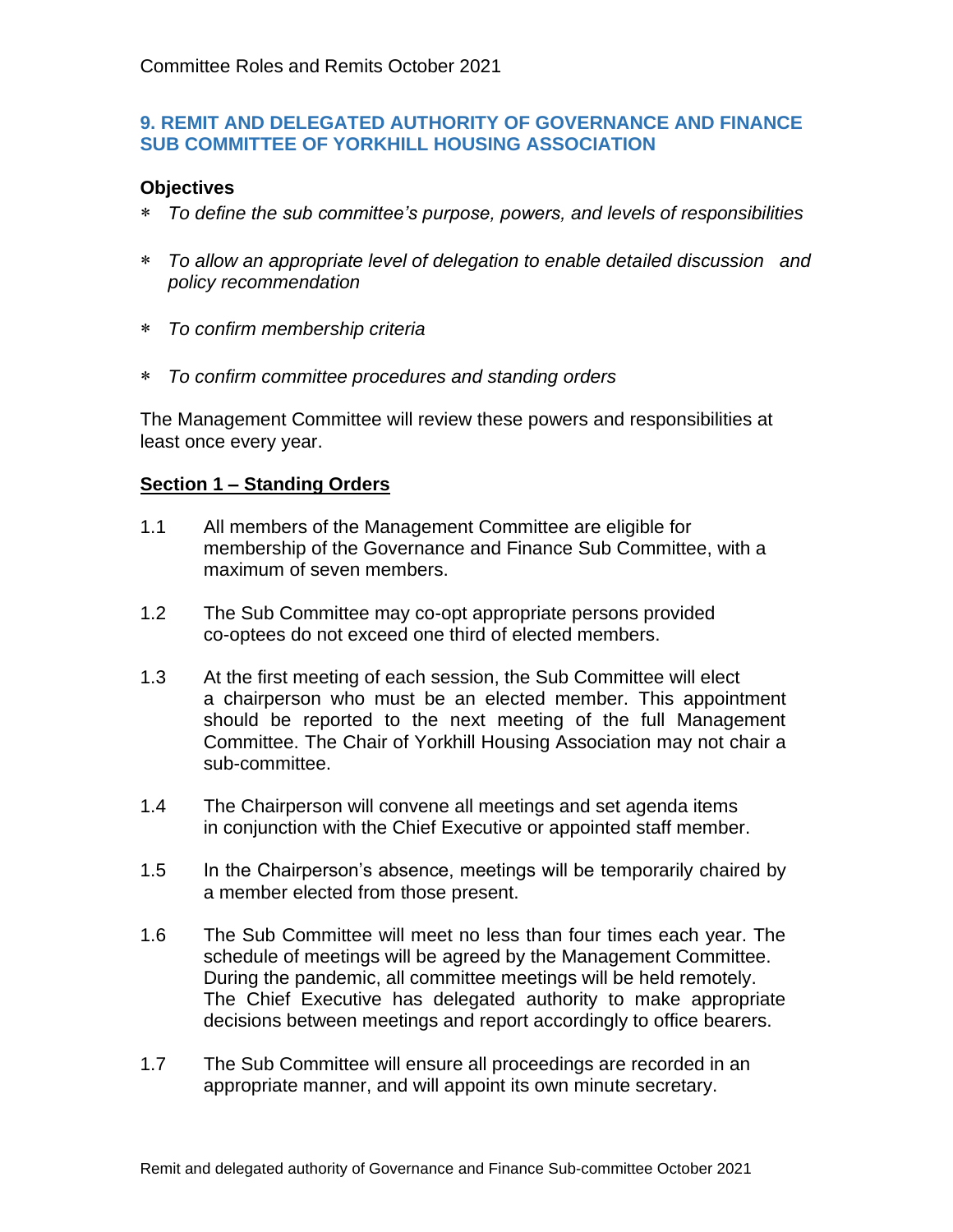## **9. REMIT AND DELEGATED AUTHORITY OF GOVERNANCE AND FINANCE SUB COMMITTEE OF YORKHILL HOUSING ASSOCIATION**

## **Objectives**

- *To define the sub committee's purpose, powers, and levels of responsibilities*
- *To allow an appropriate level of delegation to enable detailed discussion and policy recommendation*
- *To confirm membership criteria*
- *To confirm committee procedures and standing orders*

The Management Committee will review these powers and responsibilities at least once every year.

## **Section 1 – Standing Orders**

- 1.1 All members of the Management Committee are eligible for membership of the Governance and Finance Sub Committee, with a maximum of seven members.
- 1.2 The Sub Committee may co-opt appropriate persons provided co-optees do not exceed one third of elected members.
- 1.3 At the first meeting of each session, the Sub Committee will elect a chairperson who must be an elected member. This appointment should be reported to the next meeting of the full Management Committee. The Chair of Yorkhill Housing Association may not chair a sub-committee.
- 1.4 The Chairperson will convene all meetings and set agenda items in conjunction with the Chief Executive or appointed staff member.
- 1.5 In the Chairperson's absence, meetings will be temporarily chaired by a member elected from those present.
- 1.6 The Sub Committee will meet no less than four times each year. The schedule of meetings will be agreed by the Management Committee. During the pandemic, all committee meetings will be held remotely. The Chief Executive has delegated authority to make appropriate decisions between meetings and report accordingly to office bearers.
- 1.7 The Sub Committee will ensure all proceedings are recorded in an appropriate manner, and will appoint its own minute secretary.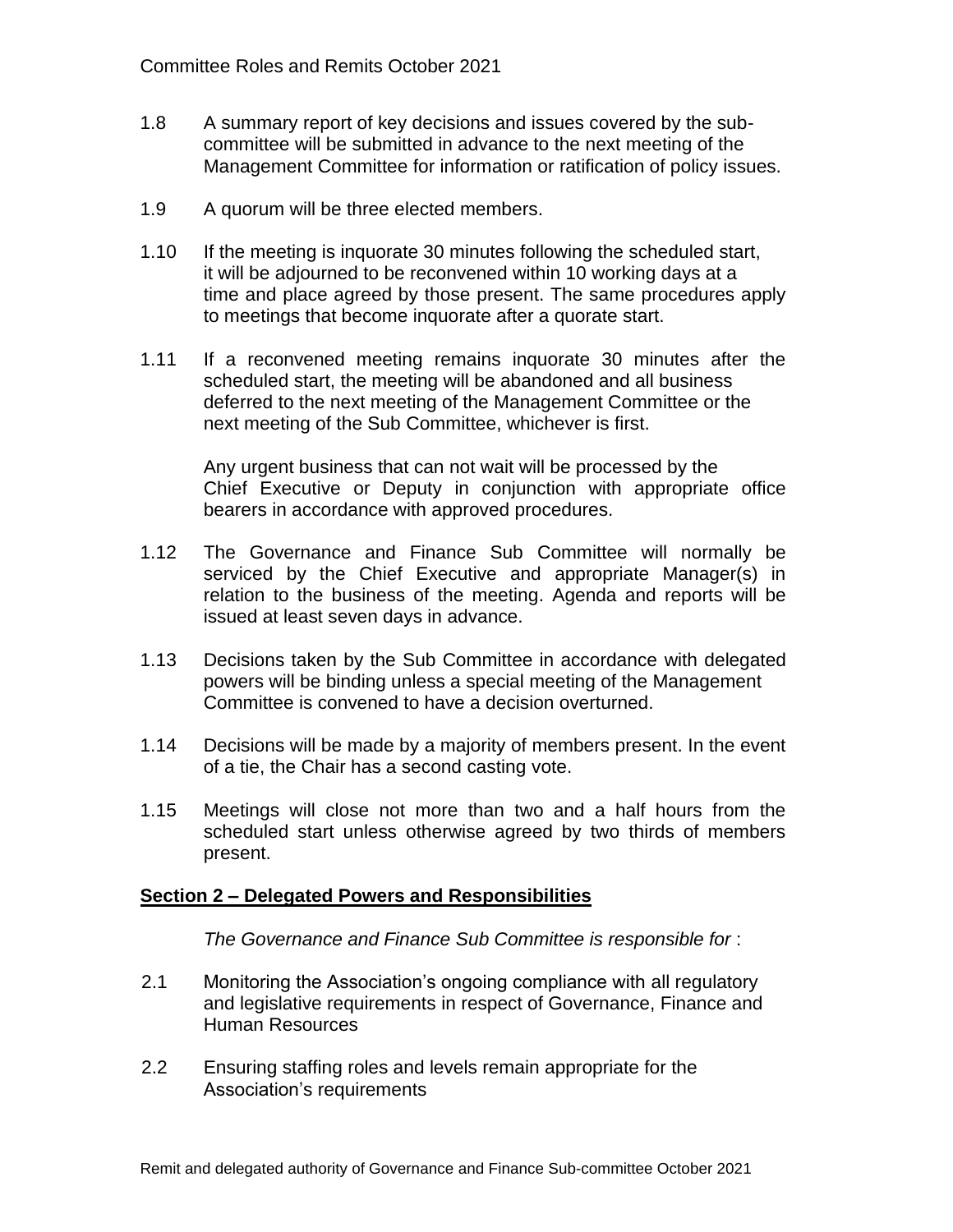- 1.8 A summary report of key decisions and issues covered by the subcommittee will be submitted in advance to the next meeting of the Management Committee for information or ratification of policy issues.
- 1.9 A quorum will be three elected members.
- 1.10 If the meeting is inquorate 30 minutes following the scheduled start, it will be adjourned to be reconvened within 10 working days at a time and place agreed by those present. The same procedures apply to meetings that become inquorate after a quorate start.
- 1.11 If a reconvened meeting remains inquorate 30 minutes after the scheduled start, the meeting will be abandoned and all business deferred to the next meeting of the Management Committee or the next meeting of the Sub Committee, whichever is first.

Any urgent business that can not wait will be processed by the Chief Executive or Deputy in conjunction with appropriate office bearers in accordance with approved procedures.

- 1.12 The Governance and Finance Sub Committee will normally be serviced by the Chief Executive and appropriate Manager(s) in relation to the business of the meeting. Agenda and reports will be issued at least seven days in advance.
- 1.13 Decisions taken by the Sub Committee in accordance with delegated powers will be binding unless a special meeting of the Management Committee is convened to have a decision overturned.
- 1.14 Decisions will be made by a majority of members present. In the event of a tie, the Chair has a second casting vote.
- 1.15 Meetings will close not more than two and a half hours from the scheduled start unless otherwise agreed by two thirds of members present.

## **Section 2 – Delegated Powers and Responsibilities**

*The Governance and Finance Sub Committee is responsible for* :

- 2.1 Monitoring the Association's ongoing compliance with all regulatory and legislative requirements in respect of Governance, Finance and Human Resources
- 2.2 Ensuring staffing roles and levels remain appropriate for the Association's requirements